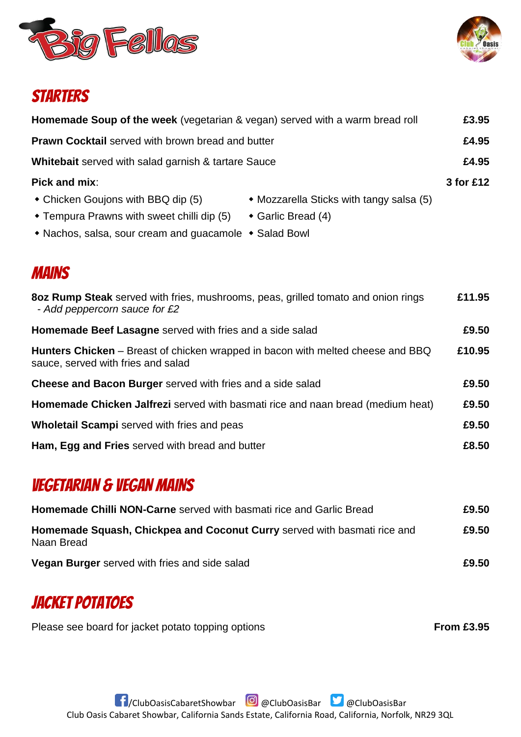



## **STARTERS**

| Homemade Soup of the week (vegetarian & vegan) served with a warm bread roll                                                                                                                                                |           |  |
|-----------------------------------------------------------------------------------------------------------------------------------------------------------------------------------------------------------------------------|-----------|--|
| <b>Prawn Cocktail</b> served with brown bread and butter                                                                                                                                                                    |           |  |
| Whitebait served with salad garnish & tartare Sauce                                                                                                                                                                         | £4.95     |  |
| Pick and mix:<br>• Chicken Goujons with BBQ dip (5)<br>• Mozzarella Sticks with tangy salsa (5)<br>• Tempura Prawns with sweet chilli dip (5)<br>Garlic Bread (4)<br>• Nachos, salsa, sour cream and guacamole • Salad Bowl | 3 for £12 |  |
| <b>MAINS</b>                                                                                                                                                                                                                |           |  |
| <b>80z Rump Steak</b> served with fries, mushrooms, peas, grilled tomato and onion rings<br>- Add peppercorn sauce for £2                                                                                                   | £11.95    |  |
| Homemade Beef Lasagne served with fries and a side salad                                                                                                                                                                    | £9.50     |  |
| Hunters Chicken – Breast of chicken wrapped in bacon with melted cheese and BBQ<br>sauce, served with fries and salad                                                                                                       |           |  |
| <b>Cheese and Bacon Burger</b> served with fries and a side salad                                                                                                                                                           | £9.50     |  |
| Homemade Chicken Jalfrezi served with basmati rice and naan bread (medium heat)                                                                                                                                             | £9.50     |  |
| <b>Wholetail Scampi</b> served with fries and peas                                                                                                                                                                          | £9.50     |  |
| Ham, Egg and Fries served with bread and butter                                                                                                                                                                             | £8.50     |  |

### VEGETARIAN & VEGAN MAINS

| Homemade Chilli NON-Carne served with basmati rice and Garlic Bread                    | £9.50 |
|----------------------------------------------------------------------------------------|-------|
| Homemade Squash, Chickpea and Coconut Curry served with basmati rice and<br>Naan Bread | £9.50 |
| <b>Vegan Burger</b> served with fries and side salad                                   | £9.50 |

# JACKET POTATOES

Please see board for jacket potato topping options **From £3.95** From £3.95